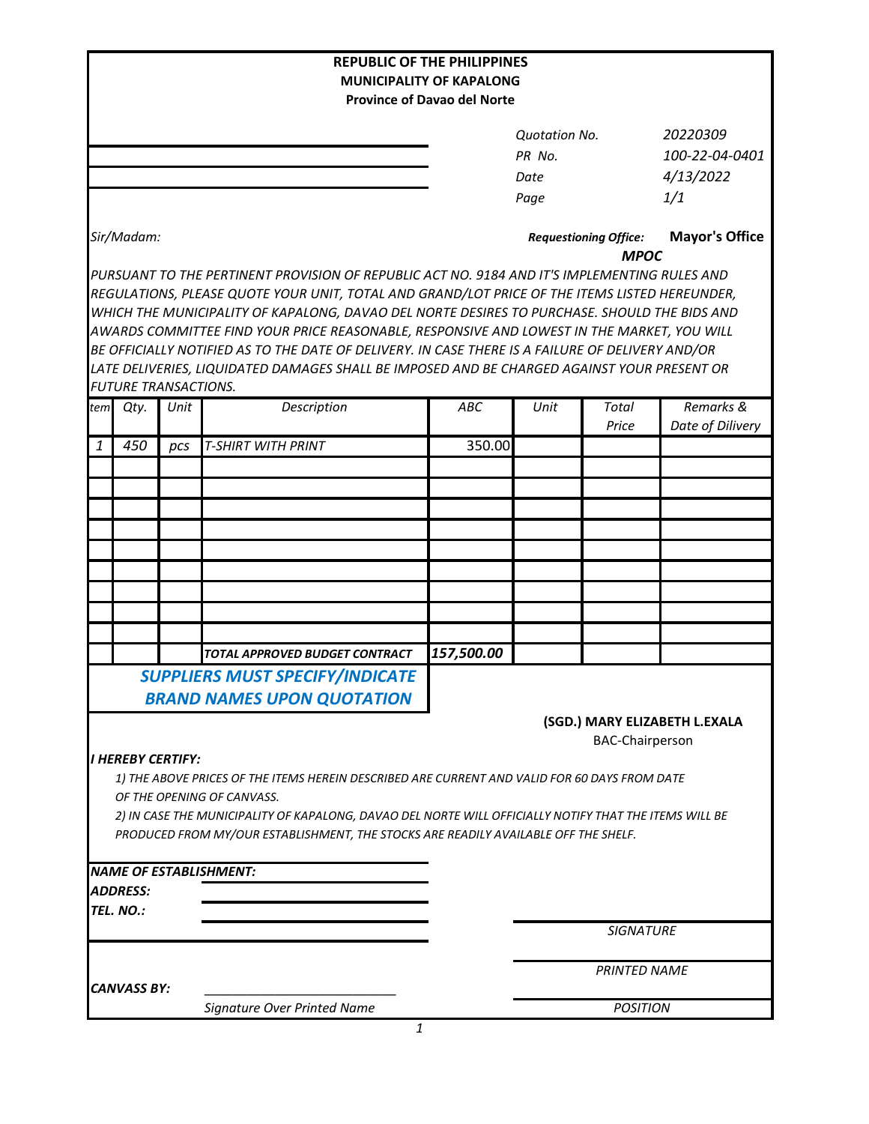|                                                                                                                             |                             |      | <b>REPUBLIC OF THE PHILIPPINES</b>                                                               |                                                                                              |                                             |                        |                               |
|-----------------------------------------------------------------------------------------------------------------------------|-----------------------------|------|--------------------------------------------------------------------------------------------------|----------------------------------------------------------------------------------------------|---------------------------------------------|------------------------|-------------------------------|
| <b>MUNICIPALITY OF KAPALONG</b>                                                                                             |                             |      |                                                                                                  |                                                                                              |                                             |                        |                               |
|                                                                                                                             |                             |      |                                                                                                  | <b>Province of Davao del Norte</b>                                                           |                                             |                        |                               |
|                                                                                                                             |                             |      |                                                                                                  |                                                                                              |                                             |                        | 20220309                      |
|                                                                                                                             |                             |      |                                                                                                  |                                                                                              | <b>Quotation No.</b><br>PR No.              |                        | 100-22-04-0401                |
|                                                                                                                             |                             |      |                                                                                                  |                                                                                              |                                             |                        | 4/13/2022                     |
|                                                                                                                             |                             |      |                                                                                                  |                                                                                              | Date                                        |                        |                               |
|                                                                                                                             |                             |      |                                                                                                  |                                                                                              | Page                                        |                        | 1/1                           |
| Sir/Madam:                                                                                                                  |                             |      |                                                                                                  |                                                                                              | <b>Requestioning Office:</b><br><b>MPOC</b> |                        | <b>Mayor's Office</b>         |
|                                                                                                                             |                             |      |                                                                                                  | PURSUANT TO THE PERTINENT PROVISION OF REPUBLIC ACT NO. 9184 AND IT'S IMPLEMENTING RULES AND |                                             |                        |                               |
|                                                                                                                             |                             |      | REGULATIONS, PLEASE QUOTE YOUR UNIT, TOTAL AND GRAND/LOT PRICE OF THE ITEMS LISTED HEREUNDER,    |                                                                                              |                                             |                        |                               |
|                                                                                                                             |                             |      | WHICH THE MUNICIPALITY OF KAPALONG, DAVAO DEL NORTE DESIRES TO PURCHASE. SHOULD THE BIDS AND     |                                                                                              |                                             |                        |                               |
|                                                                                                                             |                             |      | AWARDS COMMITTEE FIND YOUR PRICE REASONABLE, RESPONSIVE AND LOWEST IN THE MARKET, YOU WILL       |                                                                                              |                                             |                        |                               |
|                                                                                                                             |                             |      | BE OFFICIALLY NOTIFIED AS TO THE DATE OF DELIVERY. IN CASE THERE IS A FAILURE OF DELIVERY AND/OR |                                                                                              |                                             |                        |                               |
|                                                                                                                             | <b>FUTURE TRANSACTIONS.</b> |      | LATE DELIVERIES, LIQUIDATED DAMAGES SHALL BE IMPOSED AND BE CHARGED AGAINST YOUR PRESENT OR      |                                                                                              |                                             |                        |                               |
| tem                                                                                                                         | Qty.                        | Unit | Description                                                                                      | <b>ABC</b>                                                                                   | Unit                                        | <b>Total</b>           | Remarks &                     |
|                                                                                                                             |                             |      |                                                                                                  |                                                                                              |                                             | Price                  | Date of Dilivery              |
| 1                                                                                                                           | 450                         | pcs  | <b>T-SHIRT WITH PRINT</b>                                                                        | 350.00                                                                                       |                                             |                        |                               |
|                                                                                                                             |                             |      |                                                                                                  |                                                                                              |                                             |                        |                               |
|                                                                                                                             |                             |      |                                                                                                  |                                                                                              |                                             |                        |                               |
|                                                                                                                             |                             |      |                                                                                                  |                                                                                              |                                             |                        |                               |
|                                                                                                                             |                             |      |                                                                                                  |                                                                                              |                                             |                        |                               |
|                                                                                                                             |                             |      |                                                                                                  |                                                                                              |                                             |                        |                               |
|                                                                                                                             |                             |      |                                                                                                  |                                                                                              |                                             |                        |                               |
|                                                                                                                             |                             |      |                                                                                                  |                                                                                              |                                             |                        |                               |
|                                                                                                                             |                             |      |                                                                                                  |                                                                                              |                                             |                        |                               |
|                                                                                                                             |                             |      |                                                                                                  |                                                                                              |                                             |                        |                               |
|                                                                                                                             |                             |      | TOTAL APPROVED BUDGET CONTRACT                                                                   | 157,500.00                                                                                   |                                             |                        |                               |
|                                                                                                                             |                             |      | <b>SUPPLIERS MUST SPECIFY/INDICATE</b>                                                           |                                                                                              |                                             |                        |                               |
|                                                                                                                             |                             |      |                                                                                                  |                                                                                              |                                             |                        |                               |
|                                                                                                                             |                             |      | <b>BRAND NAMES UPON QUOTATION</b>                                                                |                                                                                              |                                             |                        |                               |
|                                                                                                                             |                             |      |                                                                                                  |                                                                                              |                                             |                        | (SGD.) MARY ELIZABETH L.EXALA |
|                                                                                                                             | <b>I HEREBY CERTIFY:</b>    |      |                                                                                                  |                                                                                              |                                             | <b>BAC-Chairperson</b> |                               |
|                                                                                                                             |                             |      |                                                                                                  |                                                                                              |                                             |                        |                               |
| 1) THE ABOVE PRICES OF THE ITEMS HEREIN DESCRIBED ARE CURRENT AND VALID FOR 60 DAYS FROM DATE<br>OF THE OPENING OF CANVASS. |                             |      |                                                                                                  |                                                                                              |                                             |                        |                               |
| 2) IN CASE THE MUNICIPALITY OF KAPALONG, DAVAO DEL NORTE WILL OFFICIALLY NOTIFY THAT THE ITEMS WILL BE                      |                             |      |                                                                                                  |                                                                                              |                                             |                        |                               |
|                                                                                                                             |                             |      | PRODUCED FROM MY/OUR ESTABLISHMENT, THE STOCKS ARE READILY AVAILABLE OFF THE SHELF.              |                                                                                              |                                             |                        |                               |
|                                                                                                                             |                             |      |                                                                                                  |                                                                                              |                                             |                        |                               |
|                                                                                                                             |                             |      | <b>NAME OF ESTABLISHMENT:</b>                                                                    |                                                                                              |                                             |                        |                               |
|                                                                                                                             | <b>ADDRESS:</b>             |      |                                                                                                  |                                                                                              |                                             |                        |                               |
|                                                                                                                             | TEL. NO.:                   |      |                                                                                                  |                                                                                              |                                             |                        |                               |
|                                                                                                                             |                             |      |                                                                                                  |                                                                                              |                                             | <b>SIGNATURE</b>       |                               |
|                                                                                                                             |                             |      |                                                                                                  |                                                                                              |                                             |                        |                               |
|                                                                                                                             |                             |      |                                                                                                  |                                                                                              | <b>PRINTED NAME</b>                         |                        |                               |
|                                                                                                                             | CANVASS BY:                 |      |                                                                                                  |                                                                                              |                                             |                        |                               |
|                                                                                                                             |                             |      | Signature Over Printed Name                                                                      |                                                                                              | <b>POSITION</b>                             |                        |                               |